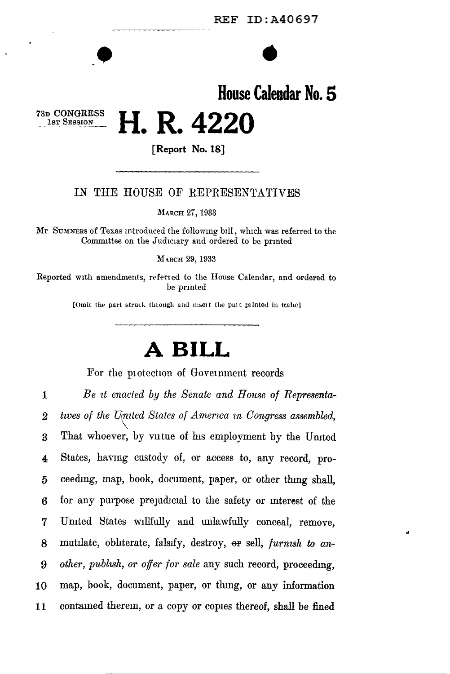## $\begin{array}{c|c}\n\hline\n\end{array}\n\qquad \qquad \begin{array}{c}\n\hline\n\end{array}\n\qquad \qquad \begin{array}{c}\n\hline\n\end{array}\n\qquad \qquad \begin{array}{c}\n\hline\n\end{array}\n\qquad \qquad \begin{array}{c}\n\hline\n\end{array}\n\qquad \qquad \begin{array}{c}\n\hline\n\end{array}\n\qquad \qquad \begin{array}{c}\n\hline\n\end{array}\n\qquad \qquad \begin{array}{c}\n\hline\n\end{array}\n\qquad \qquad \begin{array}{c}\n\hline\n\end{array}\n\qquad \qquad \begin$ **House Calendar No. 5**  73D CONGRESS **H R 4220** • •

**[Report No. 18]** 

#### IN THE HOUSE OF REPRESENTATIVES

MARCH 27, 1933

Mr SUMNERS of Texas introduced the following bill, which was referred to the Committee on the Judiciary and ordered to be printed

MARCH 29, 1933

Reported with amendments, referied to the House Calendar, and ordered to be prmted

[Omit the part struck through and msert the part printed in itahc]

### **A BILL**

For the protection of Government records

1 2 3 4 5 6 7 *Be 1t enacted by the Senate and House of Representa*twes of the United States of America in Congress assembled, That whoever, by vutue of his employment by the United States, havmg custody of, or access to, any record, proceedmg, map, book, document, paper, or other thmg shall, for any purpose prejudicial to the safety or interest of the Umted States willfully and unlawfully conceal, remove, 8 mutilate, obliterate, falsify, destroy, er sell, *furnish to an-*9 *other, publish, or offer for sale* any such record, proceedmg, 10 map, book, document, paper, or thmg, or any information 11 contained therem, or a copy or copies thereof, shall be fined

..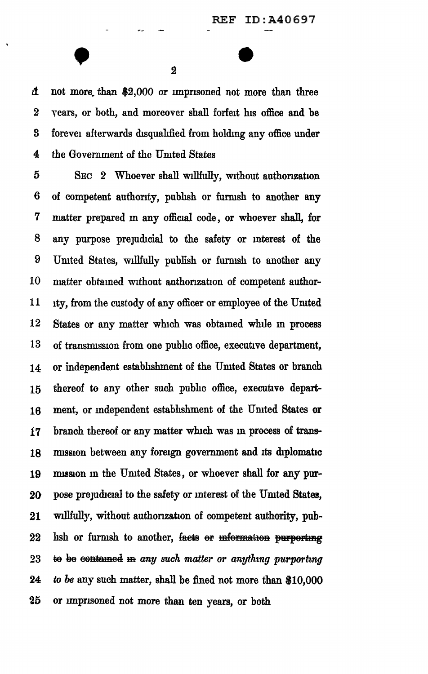•  $\frac{2}{2}$  $\Delta$  not more than \$2,000 or imprisoned not more than three 2 years, or both, and moreover shall forfeit his office and be 3 forevel afterwards disqualified from holding any office under 4 the Government of the United States

5 SEC 2 Whoever shall willfully, without authorization 6 of competent authority, pubhsh or furnish to another any 7 matter prepared m any official code , or whoever shall, for 8 any purpose prejudicial to the safety or mterest of the 9 United States, willfully publish or furnish to another any 10 matter obtained without authorization of competent author-11 ity, from the custody of any officer or employee of the United 12 States or any matter which was obtained while m process 13 of transmission from one public office, executive department, 14 or independent estabhshment of the Umted States or branch 15 thereof to any other such pubhc office, executive depart-16 ment, or independent establishment of the United States or 17 branch thereof or any matter which was m process of trans-18 mission between any foreign government and its diplomatic 19 mission in the United States, or whoever shall for any pur-20 pose prejudicial to the safety or interest of the United States, 21 willfully, without authorization of competent authority, pub- $22$  hsh or furmsh to another, facts or information purporting 23 to be contained in *any such matter or anything purporting* 24 *to be* any such matter, shall be fined not more than \$10,000 25 or imprisoned not more than ten years, or both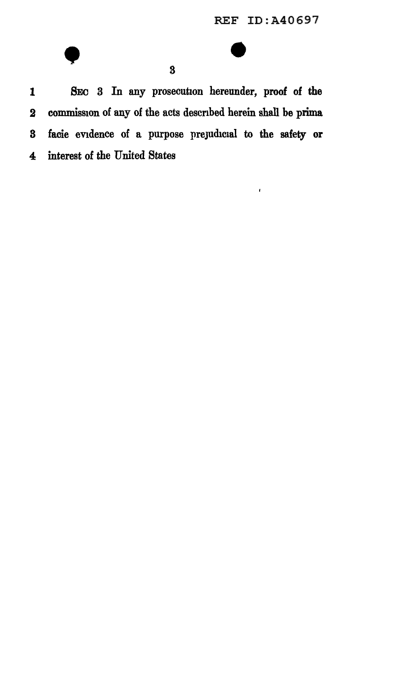$\bar{t}$ 

# $\bullet$

1 SEO 3 In any prosecution hereunder, proof of the 2 commission of any of the acts described herein shall be prima 3 facie evidence of a purpose prejudicial to the safety or 4 interest of the United States